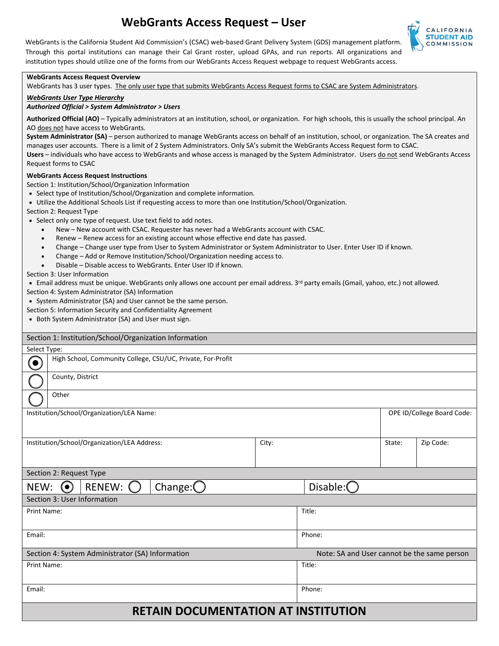# **WebGrants Access Request – User**



WebGrants is the California Student Aid Commission's (CSAC) web-based Grant Delivery System (GDS) management platform. Through this portal institutions can manage their Cal Grant roster, upload GPAs, and run reports. All organizations and institution types should utilize one of the forms from our WebGrants Access Request webpage to request WebGrants access.

#### **WebGrants Access Request Overview**

WebGrants has 3 user types. The only user type that submits WebGrants Access Request forms to CSAC are System Administrators.

### *WebGrants User Type Hierarchy*

# *Authorized Official > System Administrator > Users*

 **Authorized Official (AO)** – Typically administrators at an institution, school, or organization. For high schools, this is usually the school principal. An AO does not have access to WebGrants.

 **System Administrator (SA)** – person authorized to manage WebGrants access on behalf of an institution, school, or organization. The SA creates and gamza<br>form to<br><u>do not</u> manages user accounts. There is a limit of 2 System Administrators. Only SA's submit the WebGrants Access Request form to CSAC. Users – individuals who have access to WebGrants and whose access is managed by the System Administrator. Users do not send WebGrants Access Request forms to CSAC

## **WebGrants Access Request Instructions**

- Section 1: Institution/School/Organization Information
- Select type of Institution/School/Organization and complete information.
- Utilize the Additional Schools List if requesting access to more than one Institution/School/Organization.
- Section 2: Request Type
- Select only one type of request. Use text field to add notes.
	- New New account with CSAC. Requester has never had a WebGrants account with CSAC.
	- Renew Renew access for an existing account whose effective end date has passed.
	- Change Change user type from User to System Administrator or System Administrator to User. Enter User ID if known.
	- Change Add or Remove Institution/School/Organization needing access to.
	- Disable Disable access to WebGrants. Enter User ID if known.

Section 3: User Information

• Email address must be unique. WebGrants only allows one account per email address. 3<sup>rd</sup> party emails (Gmail, yahoo, etc.) not allowed.

- Section 4: System Administrator (SA) Information
- System Administrator (SA) and User cannot be the same person.
- Section 5: Information Security and Confidentiality Agreement
- Both System Administrator (SA) and User must sign.

| Section 1: Institution/School/Organization Information     |                                                             |  |  |  |  |                     |                            |                                             |        |           |  |
|------------------------------------------------------------|-------------------------------------------------------------|--|--|--|--|---------------------|----------------------------|---------------------------------------------|--------|-----------|--|
| Select Type:                                               |                                                             |  |  |  |  |                     |                            |                                             |        |           |  |
| $\bullet$                                                  | High School, Community College, CSU/UC, Private, For-Profit |  |  |  |  |                     |                            |                                             |        |           |  |
|                                                            | County, District                                            |  |  |  |  |                     |                            |                                             |        |           |  |
|                                                            | Other                                                       |  |  |  |  |                     |                            |                                             |        |           |  |
| Institution/School/Organization/LEA Name:                  |                                                             |  |  |  |  |                     | OPE ID/College Board Code: |                                             |        |           |  |
| Institution/School/Organization/LEA Address:               |                                                             |  |  |  |  | City:               |                            |                                             | State: | Zip Code: |  |
| Section 2: Request Type                                    |                                                             |  |  |  |  |                     |                            |                                             |        |           |  |
| Change: $\bigcirc$<br><b>RENEW:</b><br>NEW:<br>$(\bullet)$ |                                                             |  |  |  |  | Disable: $\bigcirc$ |                            |                                             |        |           |  |
| Section 3: User Information                                |                                                             |  |  |  |  |                     |                            |                                             |        |           |  |
| Print Name:                                                |                                                             |  |  |  |  |                     | Title:                     |                                             |        |           |  |
| Email:                                                     |                                                             |  |  |  |  |                     | Phone:                     |                                             |        |           |  |
| Section 4: System Administrator (SA) Information           |                                                             |  |  |  |  |                     |                            | Note: SA and User cannot be the same person |        |           |  |
| Print Name:                                                |                                                             |  |  |  |  |                     | Title:                     |                                             |        |           |  |
| Email:                                                     |                                                             |  |  |  |  |                     | Phone:                     |                                             |        |           |  |
| <b>RETAIN DOCUMENTATION AT INSTITUTION</b>                 |                                                             |  |  |  |  |                     |                            |                                             |        |           |  |